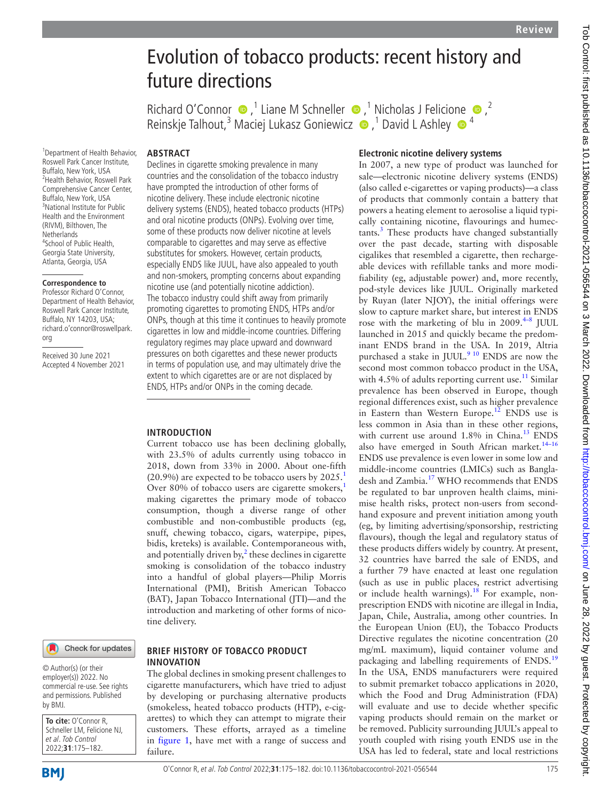# Evolution of tobacco products: recent history and future directions

RichardO'Connor  $\bullet$ ,<sup>1</sup> Lia[ne](http://orcid.org/0000-0002-1060-5893) M Schneller  $\bullet$ ,<sup>1</sup> Nicholas J Felicione  $\bullet$ ,<sup>2</sup> Reinskje Talhout,<sup>3</sup> Maciej Lukasz Goniewicz (D, <sup>1</sup> David L Ashley (D, <sup>4</sup>

# **ABSTRACT**

**INTRODUCTION**

tine delivery.

Declines in cigarette smoking prevalence in many countries and the consolidation of the tobacco industry have prompted the introduction of other forms of nicotine delivery. These include electronic nicotine delivery systems (ENDS), heated tobacco products (HTPs) and oral nicotine products (ONPs). Evolving over time, some of these products now deliver nicotine at levels comparable to cigarettes and may serve as effective substitutes for smokers. However, certain products, especially ENDS like JUUL, have also appealed to youth and non-smokers, prompting concerns about expanding nicotine use (and potentially nicotine addiction). The tobacco industry could shift away from primarily promoting cigarettes to promoting ENDS, HTPs and/or ONPs, though at this time it continues to heavily promote cigarettes in low and middle-income countries. Differing regulatory regimes may place upward and downward pressures on both cigarettes and these newer products in terms of population use, and may ultimately drive the extent to which cigarettes are or are not displaced by ENDS, HTPs and/or ONPs in the coming decade.

1 Department of Health Behavior, Roswell Park Cancer Institute, Buffalo, New York, USA 2 Health Behavior, Roswell Park Comprehensive Cancer Center, Buffalo, New York, USA <sup>3</sup>National Institute for Public Health and the Environment (RIVM), Bilthoven, The Netherlands <sup>4</sup>School of Public Health, Georgia State University, Atlanta, Georgia, USA

### **Correspondence to**

Professor Richard O'Connor, Department of Health Behavior, Roswell Park Cancer Institute, Buffalo, NY 14203, USA; richard.o'connor@roswellpark. org

Received 30 June 2021 Accepted 4 November 2021

# Check for updates

© Author(s) (or their employer(s)) 2022. No commercial re-use. See rights and permissions. Published by BMJ.

**To cite:** O'Connor R, Schneller LM, Felicione NJ et al. Tob Control 2022;**31**:175–182.

# **BRIEF HISTORY OF TOBACCO PRODUCT INNOVATION**

The global declines in smoking present challenges to cigarette manufacturers, which have tried to adjust by developing or purchasing alternative products (smokeless, heated tobacco products (HTP), e-cigarettes) to which they can attempt to migrate their customers. These efforts, arrayed as a timeline in [figure](#page-1-0) 1, have met with a range of success and failure.

Current tobacco use has been declining globally, with 23.5% of adults currently using tobacco in 2018, down from 33% in 2000. About one-fifth  $(20.9\%)$  are expected to be tobacco users by  $2025<sup>1</sup>$  $2025<sup>1</sup>$  $2025<sup>1</sup>$ Over 80% of tobacco users are cigarette smokers,<sup>[1](#page-5-0)</sup> making cigarettes the primary mode of tobacco consumption, though a diverse range of other combustible and non-combustible products (eg, snuff, chewing tobacco, cigars, waterpipe, pipes, bidis, kreteks) is available. Contemporaneous with, and potentially driven by, $^2$  $^2$  these declines in cigarette smoking is consolidation of the tobacco industry into a handful of global players—Philip Morris International (PMI), British American Tobacco (BAT), Japan Tobacco International (JTI)—and the introduction and marketing of other forms of nico-

# **Electronic nicotine delivery systems**

In 2007, a new type of product was launched for sale—electronic nicotine delivery systems (ENDS) (also called e-cigarettes or vaping products)—a class of products that commonly contain a battery that powers a heating element to aerosolise a liquid typically containing nicotine, flavourings and humec-tants.<sup>[3](#page-5-2)</sup> These products have changed substantially over the past decade, starting with disposable cigalikes that resembled a cigarette, then rechargeable devices with refillable tanks and more modifiability (eg, adjustable power) and, more recently, pod-style devices like JUUL. Originally marketed by Ruyan (later NJOY), the initial offerings were slow to capture market share, but interest in ENDS rose with the marketing of blu in  $2009.^{4-8}$  JUUL launched in 2015 and quickly became the predominant ENDS brand in the USA. In 2019, Altria purchased a stake in JUUL.<sup>9 10</sup> ENDS are now the second most common tobacco product in the USA, with 4.5% of adults reporting current use.<sup>11</sup> Similar prevalence has been observed in Europe, though regional differences exist, such as higher prevalence in Eastern than Western Europe.<sup>[12](#page-5-6)</sup> ENDS use is less common in Asia than in these other regions, with current use around  $1.8\%$  in China.<sup>13</sup> ENDS also have emerged in South African market.<sup>14-16</sup> ENDS use prevalence is even lower in some low and middle-income countries (LMICs) such as Bangladesh and Zambia. [17](#page-5-9) WHO recommends that ENDS be regulated to bar unproven health claims, minimise health risks, protect non-users from secondhand exposure and prevent initiation among youth (eg, by limiting advertising/sponsorship, restricting flavours), though the legal and regulatory status of these products differs widely by country. At present, 32 countries have barred the sale of ENDS, and a further 79 have enacted at least one regulation (such as use in public places, restrict advertising or include health warnings).<sup>18</sup> For example, nonprescription ENDS with nicotine are illegal in India, Japan, Chile, Australia, among other countries. In the European Union (EU), the Tobacco Products Directive regulates the nicotine concentration (20 mg/mL maximum), liquid container volume and packaging and labelling requirements of ENDS.[19](#page-5-11) In the USA, ENDS manufacturers were required to submit premarket tobacco applications in 2020, which the Food and Drug Administration (FDA) will evaluate and use to decide whether specific vaping products should remain on the market or be removed. Publicity surrounding JUUL's appeal to youth coupled with rising youth ENDS use in the USA has led to federal, state and local restrictions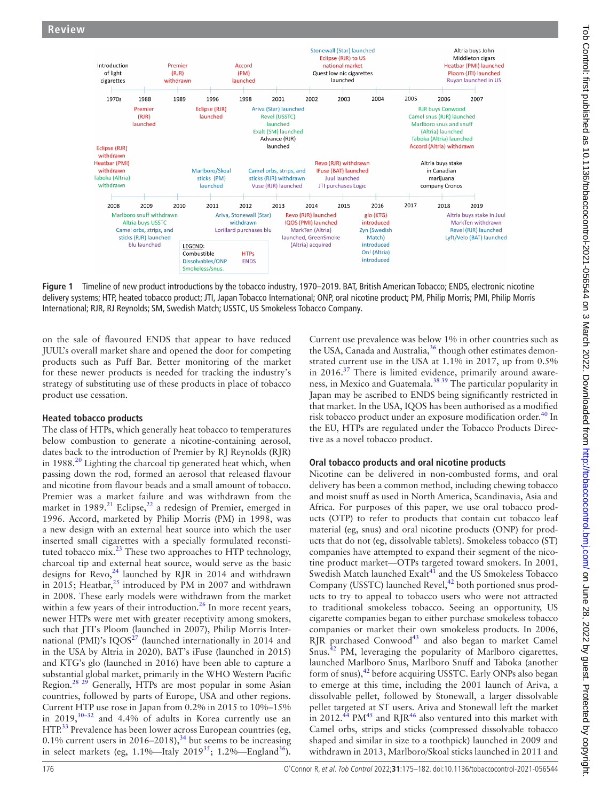

<span id="page-1-0"></span>**Figure 1** Timeline of new product introductions by the tobacco industry, 1970–2019. BAT, British American Tobacco; ENDS, electronic nicotine delivery systems; HTP, heated tobacco product; JTI, Japan Tobacco International; ONP, oral nicotine product; PM, Philip Morris; PMI, Philip Morris International; RJR, RJ Reynolds; SM, Swedish Match; USSTC, US Smokeless Tobacco Company.

on the sale of flavoured ENDS that appear to have reduced JUUL's overall market share and opened the door for competing products such as Puff Bar. Better monitoring of the market for these newer products is needed for tracking the industry's strategy of substituting use of these products in place of tobacco product use cessation.

# **Heated tobacco products**

The class of HTPs, which generally heat tobacco to temperatures below combustion to generate a nicotine-containing aerosol, dates back to the introduction of Premier by RJ Reynolds (RJR) in 1988.<sup>[20](#page-5-12)</sup> Lighting the charcoal tip generated heat which, when passing down the rod, formed an aerosol that released flavour and nicotine from flavour beads and a small amount of tobacco. Premier was a market failure and was withdrawn from the market in  $1989$ .<sup>[21](#page-5-13)</sup> Eclipse,<sup>22</sup> a redesign of Premier, emerged in 1996. Accord, marketed by Philip Morris (PM) in 1998, was a new design with an external heat source into which the user inserted small cigarettes with a specially formulated reconstituted tobacco mix. $^{23}$  $^{23}$  $^{23}$  These two approaches to HTP technology, charcoal tip and external heat source, would serve as the basic designs for  $\text{Revo}^{24}$  launched by RJR in 2014 and withdrawn in 2015; Heatbar,<sup>25</sup> introduced by PM in 2007 and withdrawn in 2008. These early models were withdrawn from the market within a few years of their introduction.<sup>26</sup> In more recent years, newer HTPs were met with greater receptivity among smokers, such that JTI's Ploom (launched in 2007), Philip Morris International (PMI)'s  $IQOS^{27}$  $IQOS^{27}$  $IQOS^{27}$  (launched internationally in 2014 and in the USA by Altria in 2020), BAT's iFuse (launched in 2015) and KTG's glo (launched in 2016) have been able to capture a substantial global market, primarily in the WHO Western Pacific Region.<sup>28 29</sup> Generally, HTPs are most popular in some Asian countries, followed by parts of Europe, USA and other regions. Current HTP use rose in Japan from 0.2% in 2015 to 10%–15% in  $2019,^{30-32}$  and 4.4% of adults in Korea currently use an HTP.<sup>33</sup> Prevalence has been lower across European countries (eg, 0.1% current users in  $2016-2018$ ,<sup>34</sup> but seems to be increasing in select markets (eg,  $1.1\%$ —Italy  $2019^{35}$  $2019^{35}$  $2019^{35}$ ;  $1.2\%$ —England<sup>36</sup>).

Current use prevalence was below 1% in other countries such as the USA, Canada and Australia,<sup>36</sup> though other estimates demonstrated current use in the USA at 1.1% in 2017, up from 0.5% in 2016. $37$  There is limited evidence, primarily around awareness, in Mexico and Guatemala[.38 39](#page-5-27) The particular popularity in Japan may be ascribed to ENDS being significantly restricted in that market. In the USA, IQOS has been authorised as a modified risk tobacco product under an exposure modification order.<sup>40</sup> In the EU, HTPs are regulated under the Tobacco Products Directive as a novel tobacco product.

# **Oral tobacco products and oral nicotine products**

Nicotine can be delivered in non-combusted forms, and oral delivery has been a common method, including chewing tobacco and moist snuff as used in North America, Scandinavia, Asia and Africa. For purposes of this paper, we use oral tobacco products (OTP) to refer to products that contain cut tobacco leaf material (eg, snus) and oral nicotine products (ONP) for products that do not (eg, dissolvable tablets). Smokeless tobacco (ST) companies have attempted to expand their segment of the nicotine product market—OTPs targeted toward smokers. In 2001, Swedish Match launched Exalt<sup>[41](#page-5-29)</sup> and the US Smokeless Tobacco Company (USSTC) launched Revel,<sup>[42](#page-5-30)</sup> both portioned snus products to try to appeal to tobacco users who were not attracted to traditional smokeless tobacco. Seeing an opportunity, US cigarette companies began to either purchase smokeless tobacco companies or market their own smokeless products. In 2006,  $RJK$  purchased Conwood<sup>[43](#page-5-31)</sup> and also began to market Camel Snus.[42](#page-5-30) PM, leveraging the popularity of Marlboro cigarettes, launched Marlboro Snus, Marlboro Snuff and Taboka (another form of snus),<sup>42</sup> before acquiring USSTC. Early ONPs also began to emerge at this time, including the 2001 launch of Ariva, a dissolvable pellet, followed by Stonewall, a larger dissolvable pellet targeted at ST users. Ariva and Stonewall left the market in 2012.<sup>[44](#page-5-32)</sup> PM<sup>45</sup> and RIR<sup>46</sup> also ventured into this market with Camel orbs, strips and sticks (compressed dissolvable tobacco shaped and similar in size to a toothpick) launched in 2009 and withdrawn in 2013, Marlboro/Skoal sticks launched in 2011 and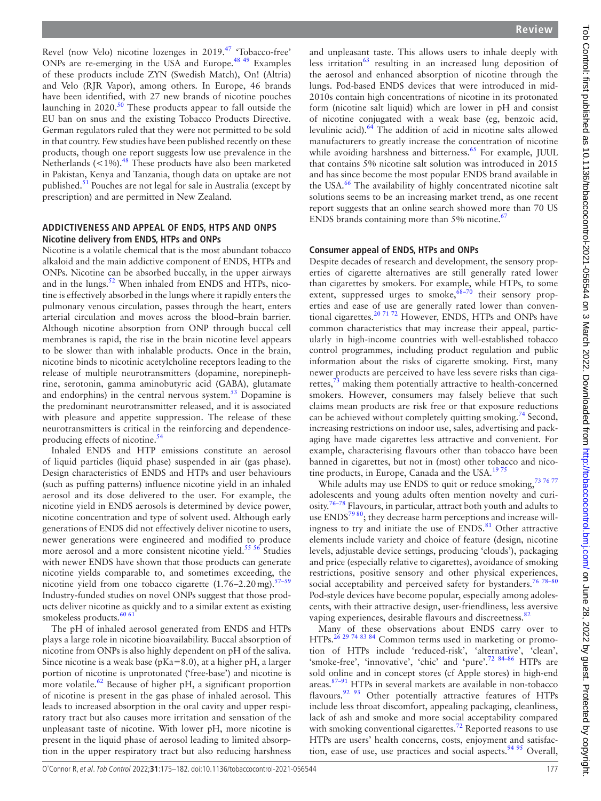Revel (now Velo) nicotine lozenges in 2019.<sup>47</sup> 'Tobacco-free' ONPs are re-emerging in the USA and Europe.<sup>48 49</sup> Examples of these products include ZYN (Swedish Match), On! (Altria) and Velo (RJR Vapor), among others. In Europe, 46 brands have been identified, with 27 new brands of nicotine pouches launching in  $2020$ .<sup>50</sup> These products appear to fall outside the EU ban on snus and the existing Tobacco Products Directive. German regulators ruled that they were not permitted to be sold in that country. Few studies have been published recently on these products, though one report suggests low use prevalence in the Netherlands ( $\lt$ 1%).<sup>48</sup> These products have also been marketed in Pakistan, Kenya and Tanzania, though data on uptake are not published.[51](#page-5-38) Pouches are not legal for sale in Australia (except by prescription) and are permitted in New Zealand.

# **ADDICTIVENESS AND APPEAL OF ENDS, HTPS AND ONPS Nicotine delivery from ENDS, HTPs and ONPs**

Nicotine is a volatile chemical that is the most abundant tobacco alkaloid and the main addictive component of ENDS, HTPs and ONPs. Nicotine can be absorbed buccally, in the upper airways and in the lungs. $52$  When inhaled from ENDS and HTPs, nicotine is effectively absorbed in the lungs where it rapidly enters the pulmonary venous circulation, passes through the heart, enters arterial circulation and moves across the blood–brain barrier. Although nicotine absorption from ONP through buccal cell membranes is rapid, the rise in the brain nicotine level appears to be slower than with inhalable products. Once in the brain, nicotine binds to nicotinic acetylcholine receptors leading to the release of multiple neurotransmitters (dopamine, norepinephrine, serotonin, gamma aminobutyric acid (GABA), glutamate and endorphins) in the central nervous system.<sup>[53](#page-5-40)</sup> Dopamine is the predominant neurotransmitter released, and it is associated with pleasure and appetite suppression. The release of these neurotransmitters is critical in the reinforcing and dependenceproducing effects of nicotine.<sup>54</sup>

Inhaled ENDS and HTP emissions constitute an aerosol of liquid particles (liquid phase) suspended in air (gas phase). Design characteristics of ENDS and HTPs and user behaviours (such as puffing patterns) influence nicotine yield in an inhaled aerosol and its dose delivered to the user. For example, the nicotine yield in ENDS aerosols is determined by device power, nicotine concentration and type of solvent used. Although early generations of ENDS did not effectively deliver nicotine to users, newer generations were engineered and modified to produce more aerosol and a more consistent nicotine yield.<sup>55 56</sup> Studies with newer ENDS have shown that those products can generate nicotine yields comparable to, and sometimes exceeding, the nicotine yield from one tobacco cigarette  $(1.76-2.20 \text{ mg})$ .<sup>57-59</sup> Industry-funded studies on novel ONPs suggest that those products deliver nicotine as quickly and to a similar extent as existing smokeless products.<sup>[60 61](#page-5-44)</sup>

The pH of inhaled aerosol generated from ENDS and HTPs plays a large role in nicotine bioavailability. Buccal absorption of nicotine from ONPs is also highly dependent on pH of the saliva. Since nicotine is a weak base (pKa=8.0), at a higher pH, a larger portion of nicotine is unprotonated ('free-base') and nicotine is more volatile. $62$  Because of higher pH, a significant proportion of nicotine is present in the gas phase of inhaled aerosol. This leads to increased absorption in the oral cavity and upper respiratory tract but also causes more irritation and sensation of the unpleasant taste of nicotine. With lower pH, more nicotine is present in the liquid phase of aerosol leading to limited absorption in the upper respiratory tract but also reducing harshness

and unpleasant taste. This allows users to inhale deeply with less irritation $63$  resulting in an increased lung deposition of the aerosol and enhanced absorption of nicotine through the lungs. Pod-based ENDS devices that were introduced in mid-2010s contain high concentrations of nicotine in its protonated form (nicotine salt liquid) which are lower in pH and consist of nicotine conjugated with a weak base (eg, benzoic acid, levulinic acid).[64](#page-6-2) The addition of acid in nicotine salts allowed manufacturers to greatly increase the concentration of nicotine while avoiding harshness and bitterness.<sup>65</sup> For example, JUUL that contains 5% nicotine salt solution was introduced in 2015 and has since become the most popular ENDS brand available in the USA.<sup>[66](#page-6-4)</sup> The availability of highly concentrated nicotine salt solutions seems to be an increasing market trend, as one recent report suggests that an online search showed more than 70 US ENDS brands containing more than  $5\%$  nicotine.<sup>67</sup>

# **Consumer appeal of ENDS, HTPs and ONPs**

Despite decades of research and development, the sensory properties of cigarette alternatives are still generally rated lower than cigarettes by smokers. For example, while HTPs, to some extent, suppressed urges to smoke,  $68-70$  their sensory properties and ease of use are generally rated lower than conven-tional cigarettes.<sup>[20 71 72](#page-5-12)</sup> However, ENDS, HTPs and ONPs have common characteristics that may increase their appeal, particularly in high-income countries with well-established tobacco control programmes, including product regulation and public information about the risks of cigarette smoking. First, many newer products are perceived to have less severe risks than cigarettes,<sup>73</sup> making them potentially attractive to health-concerned smokers. However, consumers may falsely believe that such claims mean products are risk free or that exposure reductions can be achieved without completely quitting smoking.<sup>74</sup> Second, increasing restrictions on indoor use, sales, advertising and packaging have made cigarettes less attractive and convenient. For example, characterising flavours other than tobacco have been banned in cigarettes, but not in (most) other tobacco and nicotine products, in Europe, Canada and the USA. $1975$ 

While adults may use ENDS to quit or reduce smoking,<sup>73 7677</sup> adolescents and young adults often mention novelty and curiosity.[76–78](#page-6-9) Flavours, in particular, attract both youth and adults to use ENDS<sup>7980</sup>; they decrease harm perceptions and increase willingness to try and initiate the use of ENDS.<sup>81</sup> Other attractive elements include variety and choice of feature (design, nicotine levels, adjustable device settings, producing 'clouds'), packaging and price (especially relative to cigarettes), avoidance of smoking restrictions, positive sensory and other physical experiences, social acceptability and perceived safety for bystanders.<sup>76 78-80</sup> Pod-style devices have become popular, especially among adolescents, with their attractive design, user-friendliness, less aversive vaping experiences, desirable flavours and discreetness.<sup>82</sup>

Many of these observations about ENDS carry over to HTPs.<sup>[26 29 74 83 84](#page-5-18)</sup> Common terms used in marketing or promotion of HTPs include 'reduced-risk', 'alternative', 'clean', 'smoke-free', 'innovative', 'chic' and 'pure'.<sup>72 84-86</sup> HTPs are sold online and in concept stores (cf Apple stores) in high-end areas.[87–91](#page-6-14) HTPs in several markets are available in non-tobacco flavours.<sup>92 93</sup> Other potentially attractive features of HTPs include less throat discomfort, appealing packaging, cleanliness, lack of ash and smoke and more social acceptability compared with smoking conventional cigarettes.<sup>72</sup> Reported reasons to use HTPs are users' health concerns, costs, enjoyment and satisfaction, ease of use, use practices and social aspects. $94\frac{95}{5}$  Overall,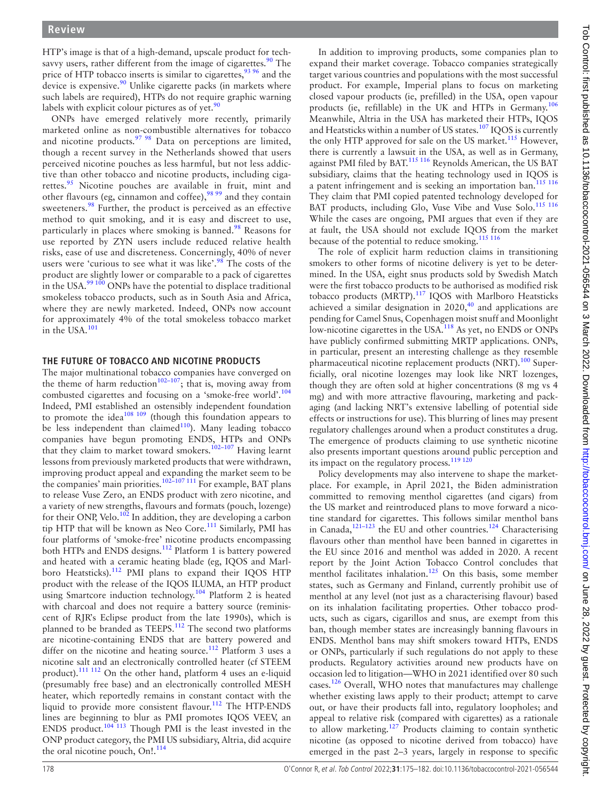HTP's image is that of a high-demand, upscale product for techsavvy users, rather different from the image of cigarettes. $\frac{90}{90}$  The price of HTP tobacco inserts is similar to cigarettes,<sup>93 96</sup> and the device is expensive. $90$  Unlike cigarette packs (in markets where such labels are required), HTPs do not require graphic warning labels with explicit colour pictures as of yet. $90$ 

ONPs have emerged relatively more recently, primarily marketed online as non-combustible alternatives for tobacco and nicotine products.  $97\frac{98}{98}$  Data on perceptions are limited, though a recent survey in the Netherlands showed that users perceived nicotine pouches as less harmful, but not less addictive than other tobacco and nicotine products, including cigarettes.<sup>95</sup> Nicotine pouches are available in fruit, mint and other flavours (eg, cinnamon and coffee), $9899$  and they contain sweeteners.<sup>98</sup> Further, the product is perceived as an effective method to quit smoking, and it is easy and discreet to use, particularly in places where smoking is banned.<sup>98</sup> Reasons for use reported by ZYN users include reduced relative health risks, ease of use and discreteness. Concerningly, 40% of never users were 'curious to see what it was like'. $\frac{98}{8}$  The costs of the product are slightly lower or comparable to a pack of cigarettes in the USA. $99100$  ONPs have the potential to displace traditional smokeless tobacco products, such as in South Asia and Africa, where they are newly marketed. Indeed, ONPs now account for approximately 4% of the total smokeless tobacco market in the USA.[101](#page-6-23)

#### **THE FUTURE OF TOBACCO AND NICOTINE PRODUCTS**

The major multinational tobacco companies have converged on the theme of harm reduction<sup>102–107</sup>; that is, moving away from combusted cigarettes and focusing on a 'smoke-free world'.<sup>[104](#page-6-25)</sup> Indeed, PMI established an ostensibly independent foundation to promote the idea<sup>[108 109](#page-6-26)</sup> (though this foundation appears to be less independent than claimed $110$ ). Many leading tobacco companies have begun promoting ENDS, HTPs and ONPs that they claim to market toward smokers.<sup>102–107</sup> Having learnt lessons from previously marketed products that were withdrawn, improving product appeal and expanding the market seem to be the companies' main priorities.<sup>102–107</sup> <sup>111</sup> For example, BAT plans to release Vuse Zero, an ENDS product with zero nicotine, and a variety of new strengths, flavours and formats (pouch, lozenge) for their ONP, Velo.<sup>[102](#page-6-24)</sup> In addition, they are developing a carbon tip HTP that will be known as Neo Core.[111](#page-6-28) Similarly, PMI has four platforms of 'smoke-free' nicotine products encompassing both HTPs and ENDS designs.<sup>112</sup> Platform 1 is battery powered and heated with a ceramic heating blade (eg, IQOS and Marlboro Heatsticks).<sup>112</sup> PMI plans to expand their IQOS HTP product with the release of the IQOS ILUMA, an HTP product using Smartcore induction technology.<sup>104</sup> Platform 2 is heated with charcoal and does not require a battery source (reminiscent of RJR's Eclipse product from the late 1990s), which is planned to be branded as TEEPS.<sup>112</sup> The second two platforms are nicotine-containing ENDS that are battery powered and differ on the nicotine and heating source.<sup>112</sup> Platform 3 uses a nicotine salt and an electronically controlled heater (cf STEEM product).[111 112](#page-6-28) On the other hand, platform 4 uses an e-liquid (presumably free base) and an electronically controlled MESH heater, which reportedly remains in constant contact with the liquid to provide more consistent flavour.<sup>[112](#page-6-29)</sup> The HTP-ENDS lines are beginning to blur as PMI promotes IQOS VEEV, an ENDS product.<sup>[104 113](#page-6-25)</sup> Though PMI is the least invested in the ONP product category, the PMI US subsidiary, Altria, did acquire the oral nicotine pouch,  $On!.^{114}$  $On!.^{114}$  $On!.^{114}$ 

In addition to improving products, some companies plan to expand their market coverage. Tobacco companies strategically target various countries and populations with the most successful product. For example, Imperial plans to focus on marketing closed vapour products (ie, prefilled) in the USA, open vapour products (ie, refillable) in the UK and HTPs in Germany[.106](#page-6-31) Meanwhile, Altria in the USA has marketed their HTPs, IQOS and Heatsticks within a number of US states.<sup>107</sup> IQOS is currently the only HTP approved for sale on the US market.<sup>115</sup> However, there is currently a lawsuit in the USA, as well as in Germany, against PMI filed by BAT.<sup>[115 116](#page-6-33)</sup> Reynolds American, the US BAT subsidiary, claims that the heating technology used in IQOS is a patent infringement and is seeking an importation ban.<sup>115</sup> <sup>116</sup> They claim that PMI copied patented technology developed for BAT products, including Glo, Vuse Vibe and Vuse Solo.<sup>[115 116](#page-6-33)</sup> While the cases are ongoing, PMI argues that even if they are at fault, the USA should not exclude IQOS from the market because of the potential to reduce smoking[.115 116](#page-6-33)

The role of explicit harm reduction claims in transitioning smokers to other forms of nicotine delivery is yet to be determined. In the USA, eight snus products sold by Swedish Match were the first tobacco products to be authorised as modified risk tobacco products (MRTP).<sup>117</sup> IQOS with Marlboro Heatsticks achieved a similar designation in  $2020$ ,  $40$  and applications are pending for Camel Snus, Copenhagen moist snuff and Moonlight low-nicotine cigarettes in the USA.<sup>118</sup> As yet, no ENDS or ONPs have publicly confirmed submitting MRTP applications. ONPs, in particular, present an interesting challenge as they resemble pharmaceutical nicotine replacement products (NRT).<sup>100</sup> Superficially, oral nicotine lozenges may look like NRT lozenges, though they are often sold at higher concentrations (8 mg vs 4 mg) and with more attractive flavouring, marketing and packaging (and lacking NRT's extensive labelling of potential side effects or instructions for use). This blurring of lines may present regulatory challenges around when a product constitutes a drug. The emergence of products claiming to use synthetic nicotine also presents important questions around public perception and its impact on the regulatory process.<sup>119 126</sup>

Policy developments may also intervene to shape the marketplace. For example, in April 2021, the Biden administration committed to removing menthol cigarettes (and cigars) from the US market and reintroduced plans to move forward a nicotine standard for cigarettes. This follows similar menthol bans in Canada,<sup>121–123</sup> the EU and other countries.<sup>124</sup> Characterising flavours other than menthol have been banned in cigarettes in the EU since 2016 and menthol was added in 2020. A recent report by the Joint Action Tobacco Control concludes that menthol facilitates inhalation.<sup>125</sup> On this basis, some member states, such as Germany and Finland, currently prohibit use of menthol at any level (not just as a characterising flavour) based on its inhalation facilitating properties. Other tobacco products, such as cigars, cigarillos and snus, are exempt from this ban, though member states are increasingly banning flavours in ENDS. Menthol bans may shift smokers toward HTPs, ENDS or ONPs, particularly if such regulations do not apply to these products. Regulatory activities around new products have on occasion led to litigation—WHO in 2021 identified over 80 such cases.<sup>126</sup> Overall, WHO notes that manufactures may challenge whether existing laws apply to their product; attempt to carve out, or have their products fall into, regulatory loopholes; and appeal to relative risk (compared with cigarettes) as a rationale to allow marketing.<sup>[127](#page-7-4)</sup> Products claiming to contain synthetic nicotine (as opposed to nicotine derived from tobacco) have emerged in the past 2–3 years, largely in response to specific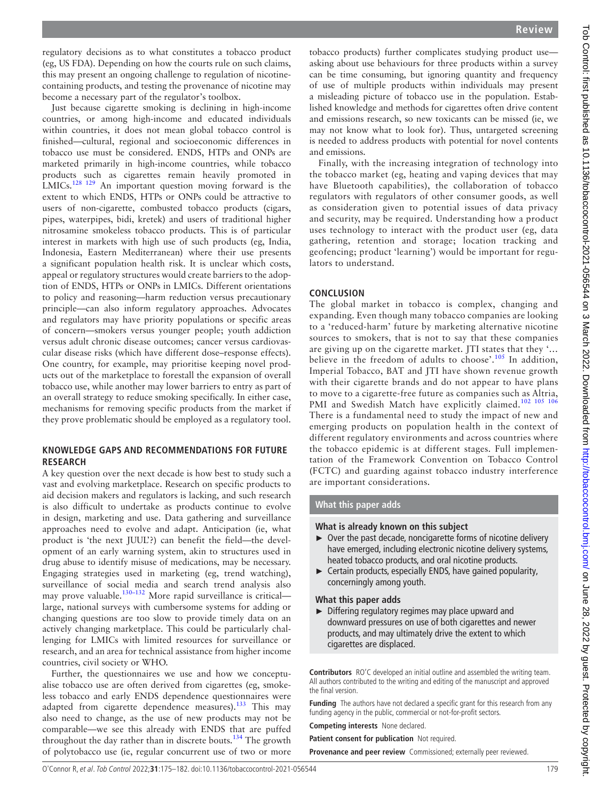regulatory decisions as to what constitutes a tobacco product (eg, US FDA). Depending on how the courts rule on such claims, this may present an ongoing challenge to regulation of nicotinecontaining products, and testing the provenance of nicotine may become a necessary part of the regulator's toolbox.

Just because cigarette smoking is declining in high-income countries, or among high-income and educated individuals within countries, it does not mean global tobacco control is finished—cultural, regional and socioeconomic differences in tobacco use must be considered. ENDS, HTPs and ONPs are marketed primarily in high-income countries, while tobacco products such as cigarettes remain heavily promoted in LMICs.[128 129](#page-7-5) An important question moving forward is the extent to which ENDS, HTPs or ONPs could be attractive to users of non-cigarette, combusted tobacco products (cigars, pipes, waterpipes, bidi, kretek) and users of traditional higher nitrosamine smokeless tobacco products. This is of particular interest in markets with high use of such products (eg, India, Indonesia, Eastern Mediterranean) where their use presents a significant population health risk. It is unclear which costs, appeal or regulatory structures would create barriers to the adoption of ENDS, HTPs or ONPs in LMICs. Different orientations to policy and reasoning—harm reduction versus precautionary principle—can also inform regulatory approaches. Advocates and regulators may have priority populations or specific areas of concern—smokers versus younger people; youth addiction versus adult chronic disease outcomes; cancer versus cardiovascular disease risks (which have different dose–response effects). One country, for example, may prioritise keeping novel products out of the marketplace to forestall the expansion of overall tobacco use, while another may lower barriers to entry as part of an overall strategy to reduce smoking specifically. In either case, mechanisms for removing specific products from the market if they prove problematic should be employed as a regulatory tool.

# **KNOWLEDGE GAPS AND RECOMMENDATIONS FOR FUTURE RESEARCH**

A key question over the next decade is how best to study such a vast and evolving marketplace. Research on specific products to aid decision makers and regulators is lacking, and such research is also difficult to undertake as products continue to evolve in design, marketing and use. Data gathering and surveillance approaches need to evolve and adapt. Anticipation (ie, what product is 'the next JUUL'?) can benefit the field—the development of an early warning system, akin to structures used in drug abuse to identify misuse of medications, may be necessary. Engaging strategies used in marketing (eg, trend watching), surveillance of social media and search trend analysis also may prove valuable.<sup>130–132</sup> More rapid surveillance is critical large, national surveys with cumbersome systems for adding or changing questions are too slow to provide timely data on an actively changing marketplace. This could be particularly challenging for LMICs with limited resources for surveillance or research, and an area for technical assistance from higher income countries, civil society or WHO.

Further, the questionnaires we use and how we conceptualise tobacco use are often derived from cigarettes (eg, smokeless tobacco and early ENDS dependence questionnaires were adapted from cigarette dependence measures).<sup>133</sup> This may also need to change, as the use of new products may not be comparable—we see this already with ENDS that are puffed throughout the day rather than in discrete bouts.<sup>134</sup> The growth of polytobacco use (ie, regular concurrent use of two or more

tobacco products) further complicates studying product use asking about use behaviours for three products within a survey can be time consuming, but ignoring quantity and frequency of use of multiple products within individuals may present a misleading picture of tobacco use in the population. Established knowledge and methods for cigarettes often drive content and emissions research, so new toxicants can be missed (ie, we may not know what to look for). Thus, untargeted screening is needed to address products with potential for novel contents and emissions.

Finally, with the increasing integration of technology into the tobacco market (eg, heating and vaping devices that may have Bluetooth capabilities), the collaboration of tobacco regulators with regulators of other consumer goods, as well as consideration given to potential issues of data privacy and security, may be required. Understanding how a product uses technology to interact with the product user (eg, data gathering, retention and storage; location tracking and geofencing; product 'learning') would be important for regulators to understand.

# **CONCLUSION**

The global market in tobacco is complex, changing and expanding. Even though many tobacco companies are looking to a 'reduced-harm' future by marketing alternative nicotine sources to smokers, that is not to say that these companies are giving up on the cigarette market. JTI states that they '… believe in the freedom of adults to choose'.<sup>105</sup> In addition, Imperial Tobacco, BAT and ITI have shown revenue growth with their cigarette brands and do not appear to have plans to move to a cigarette-free future as companies such as Altria, PMI and Swedish Match have explicitly claimed.<sup>102 105</sup> 106 There is a fundamental need to study the impact of new and emerging products on population health in the context of different regulatory environments and across countries where the tobacco epidemic is at different stages. Full implementation of the Framework Convention on Tobacco Control (FCTC) and guarding against tobacco industry interference are important considerations.

# **What this paper adds**

### **What is already known on this subject**

- ► Over the past decade, noncigarette forms of nicotine delivery have emerged, including electronic nicotine delivery systems, heated tobacco products, and oral nicotine products.
- ► Certain products, especially ENDS, have gained popularity, concerningly among youth.

### **What this paper adds**

► Differing regulatory regimes may place upward and downward pressures on use of both cigarettes and newer products, and may ultimately drive the extent to which cigarettes are displaced.

**Contributors** RO'C developed an initial outline and assembled the writing team. All authors contributed to the writing and editing of the manuscript and approved the final version.

**Funding** The authors have not declared a specific grant for this research from any funding agency in the public, commercial or not-for-profit sectors.

**Competing interests** None declared.

**Patient consent for publication** Not required.

**Provenance and peer review** Commissioned; externally peer reviewed.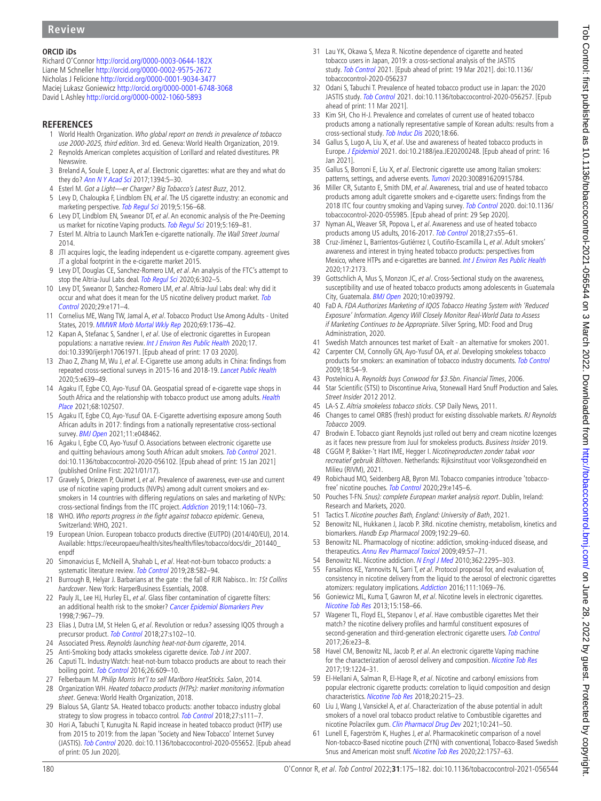# **ORCID iDs**

Richard O'Connor <http://orcid.org/0000-0003-0644-182X> Liane M Schneller<http://orcid.org/0000-0002-9575-2672> Nicholas J Felicione <http://orcid.org/0000-0001-9034-3477> Maciej Lukasz Goniewicz<http://orcid.org/0000-0001-6748-3068> David L Ashley <http://orcid.org/0000-0002-1060-5893>

# **REFERENCES**

- <span id="page-5-0"></span>1 World Health Organization. Who global report on trends in prevalence of tobacco use 2000-2025, third edition. 3rd ed. Geneva: World Health Organization, 2019.
- <span id="page-5-1"></span>2 Reynolds American completes acquisition of Lorillard and related divestitures. PR Newswire.
- <span id="page-5-2"></span>3 Breland A, Soule E, Lopez A, et al. Electronic cigarettes: what are they and what do they do? [Ann N Y Acad Sci](http://dx.doi.org/10.1111/nyas.12977) 2017;1394:5–30.
- <span id="page-5-3"></span>4 Esterl M. Got a Light—er Charger? Big Tobacco's Latest Buzz, 2012.
- 5 Levy D, Chaloupka F, Lindblom EN, et al. The US cigarette industry: an economic and marketing perspective. [Tob Regul Sci](http://dx.doi.org/10.18001/trs.5.2.7) 2019;5:156-68.
- 6 Levy DT, Lindblom EN, Sweanor DT, et al. An economic analysis of the Pre-Deeming us market for nicotine Vaping products. [Tob Regul Sci](http://dx.doi.org/10.18001/trs.5.2.8) 2019;5:169-81.
- 7 Esterl M. Altria to Launch MarkTen e-cigarette nationally. The Wall Street Journal 2014.
- 8 JTI acquires logic, the leading independent us e-cigarette company. agreement gives JT a global footprint in the e-cigarette market 2015.
- <span id="page-5-4"></span>9 Levy DT, Douglas CE, Sanchez-Romero LM, et al. An analysis of the FTC's attempt to stop the Altria-Juul Labs deal. [Tob Regul Sci](http://dx.doi.org/10.18001/TRS.6.4.7) 2020;6:302-5.
- 10 Levy DT, Sweanor D, Sanchez-Romero LM, et al. Altria-Juul Labs deal: why did it occur and what does it mean for the US nicotine delivery product market. Tob [Control](http://dx.doi.org/10.1136/tobaccocontrol-2019-055081) 2020;29:e171–4.
- <span id="page-5-5"></span>11 Cornelius ME, Wang TW, Jamal A, et al. Tobacco Product Use Among Adults - United States, 2019. [MMWR Morb Mortal Wkly Rep](http://dx.doi.org/10.15585/mmwr.mm6946a4) 2020;69:1736–42.
- <span id="page-5-6"></span>12 Kapan A, Stefanac S, Sandner I, et al. Use of electronic cigarettes in European populations: a narrative review. [Int J Environ Res Public Health](http://dx.doi.org/10.3390/ijerph17061971) 2020;17. doi:10.3390/ijerph17061971. [Epub ahead of print: 17 03 2020].
- <span id="page-5-7"></span>13 Zhao Z, Zhang M, Wu J, et al. E-Cigarette use among adults in China: findings from repeated cross-sectional surveys in 2015-16 and 2018-19. [Lancet Public Health](http://dx.doi.org/10.1016/S2468-2667(20)30145-6) 2020;5:e639–49.
- <span id="page-5-8"></span>14 Agaku IT, Egbe CO, Ayo-Yusuf OA. Geospatial spread of e-cigarette vape shops in South Africa and the relationship with tobacco product use among adults. Health [Place](http://dx.doi.org/10.1016/j.healthplace.2021.102507) 2021;68:102507.
- 15 Agaku IT, Egbe CO, Ayo-Yusuf OA. E-Cigarette advertising exposure among South African adults in 2017: findings from a nationally representative cross-sectional survey. **[BMJ Open](http://dx.doi.org/10.1136/bmjopen-2020-048462) 2021**;11:e048462.
- 16 Agaku I, Egbe CO, Ayo-Yusuf O. Associations between electronic cigarette use and quitting behaviours among South African adult smokers. [Tob Control](http://dx.doi.org/10.1136/tobaccocontrol-2020-056102) 2021. doi:10.1136/tobaccocontrol-2020-056102. [Epub ahead of print: 15 Jan 2021] (published Online First: 2021/01/17).
- <span id="page-5-9"></span>17 Gravely S, Driezen P, Ouimet J, et al. Prevalence of awareness, ever-use and current use of nicotine vaping products (NVPs) among adult current smokers and exsmokers in 14 countries with differing regulations on sales and marketing of NVPs: cross-sectional findings from the ITC project. [Addiction](http://dx.doi.org/10.1111/add.14558) 2019;114:1060–73.
- <span id="page-5-10"></span>18 WHO. Who reports progress in the fight against tobacco epidemic. Geneva, Switzerland: WHO, 2021.
- <span id="page-5-11"></span>19 European Union. European tobacco products directive (EUTPD) (2014/40/EU), 2014. Available: [https://eceuropaeu/health/sites/health/files/tobacco/docs/dir\\_201440\\_](https://eceuropaeu/health/sites/health/files/tobacco/docs/dir_201440_enpdf) [enpdf](https://eceuropaeu/health/sites/health/files/tobacco/docs/dir_201440_enpdf)
- <span id="page-5-12"></span>20 Simonavicius E, McNeill A, Shahab L, et al. Heat-not-burn tobacco products: a systematic literature review. [Tob Control](http://dx.doi.org/10.1136/tobaccocontrol-2018-054419) 2019;28:582-94.
- <span id="page-5-13"></span>21 Burrough B, Helyar J. Barbarians at the gate : the fall of RJR Nabisco.. In: 1St Collins hardcover. New York: HarperBusiness Essentials, 2008.
- <span id="page-5-14"></span>22 Pauly JL, Lee HJ, Hurley EL, et al. Glass fiber contamination of cigarette filters: an additional health risk to the smoker? [Cancer Epidemiol Biomarkers Prev](http://www.ncbi.nlm.nih.gov/pubmed/9829704) 1998;7:967–79.
- <span id="page-5-15"></span>23 Elias J, Dutra LM, St Helen G, et al. Revolution or redux? assessing IQOS through a precursor product. [Tob Control](http://dx.doi.org/10.1136/tobaccocontrol-2018-054327) 2018:27:s102-10.
- <span id="page-5-16"></span>24 Associated Press. Reynolds launching heat-not-burn cigarette, 2014.
- <span id="page-5-17"></span>25 Anti-Smoking body attacks smokeless cigarette device. Tob J int 2007.
- <span id="page-5-18"></span>26 Caputi TL. Industry Watch: heat-not-burn tobacco products are about to reach their boiling point. [Tob Control](http://dx.doi.org/10.1136/tobaccocontrol-2016-053264) 2016;26:609-10.
- <span id="page-5-19"></span>27 Felberbaum M. Philip Morris Int'l to sell Marlboro HeatSticks. Salon, 2014.
- <span id="page-5-20"></span>28 Organization WH. Heated tobacco products (HTPs): market monitoring information sheet. Geneva: World Health Organization, 2018.
- 29 Bialous SA, Glantz SA. Heated tobacco products: another tobacco industry global strategy to slow progress in tobacco control. [Tob Control](http://dx.doi.org/10.1136/tobaccocontrol-2018-054340) 2018;27:s111-7.
- <span id="page-5-21"></span>30 Hori A, Tabuchi T, Kunugita N. Rapid increase in heated tobacco product (HTP) use from 2015 to 2019: from the Japan 'Society and New Tobacco' Internet Survey (JASTIS). [Tob Control](http://dx.doi.org/10.1136/tobaccocontrol-2020-055652) 2020. doi:10.1136/tobaccocontrol-2020-055652. [Epub ahead of print: 05 Jun 2020].
- 31 Lau YK, Okawa S, Meza R. Nicotine dependence of cigarette and heated tobacco users in Japan, 2019: a cross-sectional analysis of the JASTIS study. [Tob Control](http://dx.doi.org/10.1136/tobaccocontrol-2020-056237) 2021. [Epub ahead of print: 19 Mar 2021]. doi:10.1136/ tobaccocontrol-2020-056237
- 32 Odani S, Tabuchi T. Prevalence of heated tobacco product use in Japan: the 2020 JASTIS study. [Tob Control](http://dx.doi.org/10.1136/tobaccocontrol-2020-056257) 2021. doi:10.1136/tobaccocontrol-2020-056257. [Epub ahead of print: 11 Mar 2021].
- <span id="page-5-22"></span>33 Kim SH, Cho H-J. Prevalence and correlates of current use of heated tobacco products among a nationally representative sample of Korean adults: results from a cross-sectional study. [Tob Induc Dis](http://dx.doi.org/10.18332/tid/125232) 2020;18:66.
- <span id="page-5-23"></span>34 Gallus S, Lugo A, Liu X, et al. Use and awareness of heated tobacco products in Europe. [J Epidemiol](http://dx.doi.org/10.2188/jea.JE20200248) 2021. doi:10.2188/jea.JE20200248. [Epub ahead of print: 16 Jan 2021].
- <span id="page-5-24"></span>35 Gallus S, Borroni E, Liu X, et al. Electronic cigarette use among Italian smokers: patterns, settings, and adverse events. [Tumori](http://dx.doi.org/10.1177/0300891620915784) 2020:300891620915784.
- <span id="page-5-25"></span>36 Miller CR, Sutanto E, Smith DM, et al. Awareness, trial and use of heated tobacco products among adult cigarette smokers and e-cigarette users: findings from the 2018 ITC four country smoking and Vaping survey. [Tob Control](http://dx.doi.org/10.1136/tobaccocontrol-2020-055985) 2020. doi:10.1136/ tobaccocontrol-2020-055985. [Epub ahead of print: 29 Sep 2020].
- <span id="page-5-26"></span>37 Nyman AL, Weaver SR, Popova L, et al. Awareness and use of heated tobacco products among US adults, 2016-2017. [Tob Control](http://dx.doi.org/10.1136/tobaccocontrol-2018-054323) 2018;27:s55–61.
- <span id="page-5-27"></span>38 Cruz-Jiménez L, Barrientos-Gutiérrez I, Coutiño-Escamilla L, et al. Adult smokers' awareness and interest in trying heated tobacco products: perspectives from Mexico, where HTPs and e-cigarettes are banned. [Int J Environ Res Public Health](http://dx.doi.org/10.3390/ijerph17072173) 2020;17:2173.
- 39 Gottschlich A, Mus S, Monzon JC, et al. Cross-Sectional study on the awareness, susceptibility and use of heated tobacco products among adolescents in Guatemala City, Guatemala. [BMJ Open](http://dx.doi.org/10.1136/bmjopen-2020-039792) 2020;10:e039792.
- <span id="page-5-28"></span>40 FaD A. FDA Authorizes Marketing of IQOS Tobacco Heating System with 'Reduced Exposure' Information. Agency Will Closely Monitor Real-World Data to Assess if Marketing Continues to be Appropriate. Silver Spring, MD: Food and Drug Administration, 2020.
- <span id="page-5-29"></span>41 Swedish Match announces test market of Exalt - an alternative for smokers 2001.
- <span id="page-5-30"></span>42 Carpenter CM, Connolly GN, Ayo-Yusuf OA, et al. Developing smokeless tobacco products for smokers: an examination of tobacco industry documents. [Tob Control](http://dx.doi.org/10.1136/tc.2008.026583) 2009;18:54–9.
- <span id="page-5-31"></span>43 Postelnicu A. Reynolds buys Conwood for \$3.5bn. Financial Times, 2006.
- <span id="page-5-32"></span>44 Star Scientific (STSI) to Discontinue Ariva, Stonewall Hard Snuff Production and Sales. Street Insider 2012 2012.
- <span id="page-5-33"></span>45 LA-S Z. Altria smokeless tobacco sticks. CSP Daily News, 2011.
- <span id="page-5-34"></span>46 Changes to camel ORBS (fresh) product for existing dissolvable markets. RJ Reynolds Tobacco 2009.
- <span id="page-5-35"></span>47 Brodwin E. Tobacco giant Reynolds just rolled out berry and cream nicotine lozenges as it faces new pressure from Juul for smokeless products. Business Insider 2019.
- <span id="page-5-36"></span>48 CGGM P, Bakker-'t Hart IME, Hegger I. Nicotineproducten zonder tabak voor recreatief gebruik Bilthoven. Netherlands: Rijksinstituut voor Volksgezondheid en Milieu (RIVM), 2021.
- 49 Robichaud MO, Seidenberg AB, Byron MJ. Tobacco companies introduce 'tobacco-free' nicotine pouches. [Tob Control](http://dx.doi.org/10.1136/tobaccocontrol-2019-055321) 2020;29:e145-6.
- <span id="page-5-37"></span>50 Pouches T-FN. Snus): complete European market analysis report. Dublin, Ireland: Research and Markets, 2020.
- <span id="page-5-38"></span>51 Tactics T. Nicotine pouches Bath, England: University of Bath, 2021.
- <span id="page-5-39"></span>52 Benowitz NL, Hukkanen J, Jacob P. 3Rd. nicotine chemistry, metabolism, kinetics and biomarkers. Handb Exp Pharmacol 2009;192:29–60.
- <span id="page-5-40"></span>53 Benowitz NL. Pharmacology of nicotine: addiction, smoking-induced disease, and therapeutics. [Annu Rev Pharmacol Toxicol](http://dx.doi.org/10.1146/annurev.pharmtox.48.113006.094742) 2009;49:57-71.
- <span id="page-5-41"></span>54 Benowitz NL. Nicotine addiction. [N Engl J Med](http://dx.doi.org/10.1056/NEJMra0809890) 2010;362:2295-303
- <span id="page-5-42"></span>55 Farsalinos KE, Yannovits N, Sarri T, et al. Protocol proposal for, and evaluation of, consistency in nicotine delivery from the liquid to the aerosol of electronic cigarettes atomizers: regulatory implications. [Addiction](http://dx.doi.org/10.1111/add.13299) 2016;111:1069–76.
- 56 Goniewicz ML, Kuma T, Gawron M, et al. Nicotine levels in electronic cigarettes. [Nicotine Tob Res](http://dx.doi.org/10.1093/ntr/nts103) 2013;15:158–66.
- <span id="page-5-43"></span>57 Wagener TL, Floyd EL, Stepanov I, et al. Have combustible cigarettes Met their match? the nicotine delivery profiles and harmful constituent exposures of second-generation and third-generation electronic cigarette users. [Tob Control](http://dx.doi.org/10.1136/tobaccocontrol-2016-053041) 2017;26:e23–8.
- 58 Havel CM, Benowitz NL, Jacob P, et al. An electronic cigarette Vaping machine for the characterization of aerosol delivery and composition. [Nicotine Tob Res](http://dx.doi.org/10.1093/ntr/ntw147) 2017;19:1224–31.
- 59 El-Hellani A, Salman R, El-Hage R, et al. Nicotine and carbonyl emissions from popular electronic cigarette products: correlation to liquid composition and design characteristics. [Nicotine Tob Res](http://dx.doi.org/10.1093/ntr/ntw280) 2018;20:215–23.
- <span id="page-5-44"></span>60 Liu J, Wang J, Vansickel A, et al. Characterization of the abuse potential in adult smokers of a novel oral tobacco product relative to Combustible cigarettes and nicotine Polacrilex qum. [Clin Pharmacol Drug Dev](http://dx.doi.org/10.1002/cpdd.909) 2021;10:241-50.
- 61 Lunell E, Fagerström K, Hughes J, et al. Pharmacokinetic comparison of a novel Non-tobacco-Based nicotine pouch (ZYN) with conventional, Tobacco-Based Swedish Snus and American moist snuff. [Nicotine Tob Res](http://dx.doi.org/10.1093/ntr/ntaa068) 2020;22:1757–63.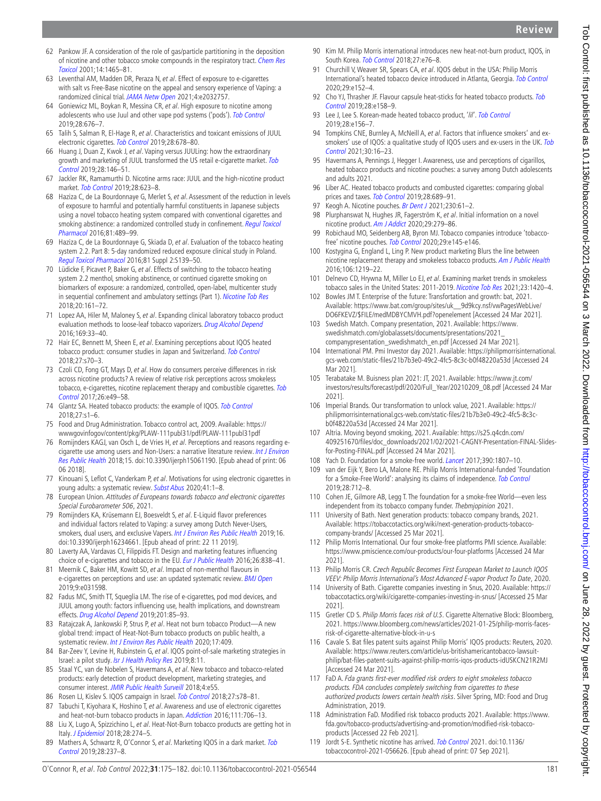- <span id="page-6-15"></span>2020;29:e152–4. 92 Cho YJ, Thrasher JF. Flavour capsule heat-sticks for heated tobacco products. Tob [Control](http://dx.doi.org/10.1136/tobaccocontrol-2018-054472) 2019;28:e158–9.
- <span id="page-6-18"></span>93 Lee J, Lee S. Korean-made heated tobacco product, 'lil'. [Tob Control](http://dx.doi.org/10.1136/tobaccocontrol-2018-054430) 2019;28:e156–7.
- <span id="page-6-16"></span>94 Tompkins CNE, Burnley A, McNeill A, et al. Factors that influence smokers' and exsmokers' use of IQOS: a qualitative study of IQOS users and ex-users in the UK. Tob [Control](http://dx.doi.org/10.1136/tobaccocontrol-2019-055306) 2021;30:16–23.
- <span id="page-6-20"></span>95 Havermans A, Pennings J, Hegger I. Awareness, use and perceptions of cigarillos, heated tobacco products and nicotine pouches: a survey among Dutch adolescents and adults 2021.
- 96 Liber AC. Heated tobacco products and combusted cigarettes: comparing global prices and taxes. [Tob Control](http://dx.doi.org/10.1136/tobaccocontrol-2018-054602) 2019;28:689-91.
- <span id="page-6-19"></span>97 Keogh A. Nicotine pouches. [Br Dent J](http://dx.doi.org/10.1038/s41415-021-2622-y) 2021;230:61-2.

<span id="page-6-17"></span>South Korea. [Tob Control](http://dx.doi.org/10.1136/tobaccocontrol-2017-053965) 2018;27:e76-8.

- <span id="page-6-21"></span>98 Plurphanswat N, Hughes JR, Fagerström K, et al. Initial information on a novel nicotine product. [Am J Addict](http://dx.doi.org/10.1111/ajad.13020) 2020;29:279-86.
- <span id="page-6-22"></span>99 Robichaud MO, Seidenberg AB, Byron MJ. Tobacco companies introduce 'tobacco-free' nicotine pouches. [Tob Control](http://dx.doi.org/10.1136/tobaccocontrol-2019-055321) 2020;29:e145-e146.
- <span id="page-6-36"></span>100 Kostygina G, England L, Ling P. New product marketing Blurs the line between nicotine replacement therapy and smokeless tobacco products. [Am J Public Health](http://dx.doi.org/10.2105/AJPH.2016.303057) 2016;106:1219–22.
- <span id="page-6-23"></span>101 Delnevo CD, Hrywna M, Miller Lo EJ, et al. Examining market trends in smokeless tobacco sales in the United States: 2011-2019. [Nicotine Tob Res](http://dx.doi.org/10.1093/ntr/ntaa239) 2021;23:1420-4.
- <span id="page-6-24"></span>102 Bowles JM T. Enterprise of the future: Transfortation and growth: bat, 2021. Available: [https://www.bat.com/group/sites/uk\\_\\_9d9kcy.nsf/vwPagesWebLive/](https://www.bat.com/group/sites/uk__9d9kcy.nsf/vwPagesWebLive/DO6FKEVZ/$FILE/medMDBYCMVH.pdf?openelement) [DO6FKEVZ/\\$FILE/medMDBYCMVH.pdf?openelement](https://www.bat.com/group/sites/uk__9d9kcy.nsf/vwPagesWebLive/DO6FKEVZ/$FILE/medMDBYCMVH.pdf?openelement) [Accessed 24 Mar 2021].
- 103 Swedish Match. Company presentation, 2021. Available: [https://www.](https://www.swedishmatch.com/globalassets/documents/presentations/2021_companypresentation_swedishmatch_en.pdf) [swedishmatch.com/globalassets/documents/presentations/2021\\_](https://www.swedishmatch.com/globalassets/documents/presentations/2021_companypresentation_swedishmatch_en.pdf) [companypresentation\\_swedishmatch\\_en.pdf](https://www.swedishmatch.com/globalassets/documents/presentations/2021_companypresentation_swedishmatch_en.pdf) [Accessed 24 Mar 2021].
- <span id="page-6-25"></span>104 International PM. Pmi Investor day 2021. Available: [https://philipmorrisinternational.](https://philipmorrisinternational.gcs-web.com/static-files/21b7b3e0-49c2-4fc5-8c3c-b0f48220a53d) [gcs-web.com/static-files/21b7b3e0-49c2-4fc5-8c3c-b0f48220a53d](https://philipmorrisinternational.gcs-web.com/static-files/21b7b3e0-49c2-4fc5-8c3c-b0f48220a53d) [Accessed 24 Mar 2021].
- <span id="page-6-38"></span>105 Terabatake M. Buisness plan 2021: JT, 2021. Available: [https://www.jt.com/](https://www.jt.com/investors/results/forecast/pdf/2020/Full_Year/20210209_08.pdf) [investors/results/forecast/pdf/2020/Full\\_Year/20210209\\_08.pdf](https://www.jt.com/investors/results/forecast/pdf/2020/Full_Year/20210209_08.pdf) [Accessed 24 Mar 2021].
- <span id="page-6-31"></span>106 Imperial Brands. Our transformation to unlock value, 2021. Available: [https://](https://philipmorrisinternational.gcs-web.com/static-files/21b7b3e0-49c2-4fc5-8c3c-b0f48220a53d) [philipmorrisinternational.gcs-web.com/static-files/21b7b3e0-49c2-4fc5-8c3c](https://philipmorrisinternational.gcs-web.com/static-files/21b7b3e0-49c2-4fc5-8c3c-b0f48220a53d)[b0f48220a53d](https://philipmorrisinternational.gcs-web.com/static-files/21b7b3e0-49c2-4fc5-8c3c-b0f48220a53d) [Accessed 24 Mar 2021].
- <span id="page-6-32"></span>107 Altria. Moving beyond smoking, 2021. Available: [https://s25.q4cdn.com/](https://s25.q4cdn.com/409251670/files/doc_downloads/2021/02/2021-CAGNY-Presentation-FINAL-Slides-for-Posting-FINAL.pdf) [409251670/files/doc\\_downloads/2021/02/2021-CAGNY-Presentation-FINAL-Slides](https://s25.q4cdn.com/409251670/files/doc_downloads/2021/02/2021-CAGNY-Presentation-FINAL-Slides-for-Posting-FINAL.pdf)[for-Posting-FINAL.pdf](https://s25.q4cdn.com/409251670/files/doc_downloads/2021/02/2021-CAGNY-Presentation-FINAL-Slides-for-Posting-FINAL.pdf) [Accessed 24 Mar 2021].
- <span id="page-6-26"></span>108 Yach D. Foundation for a smoke-free world. [Lancet](http://dx.doi.org/10.1016/S0140-6736(17)32602-8) 2017;390:1807-10.
- 109 van der Eijk Y, Bero LA, Malone RE. Philip Morris International-funded 'Foundation for a Smoke-Free World': analysing its claims of independence. [Tob Control](http://dx.doi.org/10.1136/tobaccocontrol-2018-054278) 2019;28:712–8.
- <span id="page-6-27"></span>110 Cohen JE, Gilmore AB, Legg T. The foundation for a smoke-free World—even less independent from its tobacco company funder. Thebmjopinion 2021.
- <span id="page-6-28"></span>111 University of Bath. Next generation products: tobacco company brands, 2021. Available: [https://tobaccotactics.org/wiki/next-generation-products-tobacco](https://tobaccotactics.org/wiki/next-generation-products-tobacco-company-brands/)[company-brands/](https://tobaccotactics.org/wiki/next-generation-products-tobacco-company-brands/) [Accessed 25 Mar 2021].
- <span id="page-6-29"></span>112 Philip Morris International. Our four smoke-free platforms PMI science. Available: <https://www.pmiscience.com/our-products/our-four-platforms> [Accessed 24 Mar 2021].
- 113 Philip Morris CR. Czech Republic Becomes First European Market to Launch IQOS VEEV: Philip Morris International's Most Advanced E-vapor Product To Date, 2020.
- <span id="page-6-30"></span>114 University of Bath. Cigarette companies investing in Snus, 2020. Available: [https://](https://tobaccotactics.org/wiki/cigarette-companies-investing-in-snus/) [tobaccotactics.org/wiki/cigarette-companies-investing-in-snus/](https://tobaccotactics.org/wiki/cigarette-companies-investing-in-snus/) [Accessed 25 Mar 2021].
- <span id="page-6-33"></span>115 Gretler CD S. Philip Morris faces risk of U.S. Cigarette Alternative Block: Bloomberg, 2021. [https://www.bloomberg.com/news/articles/2021-01-25/philip-morris-faces](https://www.bloomberg.com/news/articles/2021-01-25/philip-morris-faces-risk-of-cigarette-alternative-block-in-u-s)[risk-of-cigarette-alternative-block-in-u-s](https://www.bloomberg.com/news/articles/2021-01-25/philip-morris-faces-risk-of-cigarette-alternative-block-in-u-s)
- 116 Cavale S. Bat files patent suits against Philip Morris' IQOS products: Reuters, 2020. Available: [https://www.reuters.com/article/us-britishamericantobacco-lawsuit](https://www.reuters.com/article/us-britishamericantobacco-lawsuit-philip/bat-files-patent-suits-against-philip-morris-iqos-products-idUSKCN21R2MJ)[philip/bat-files-patent-suits-against-philip-morris-iqos-products-idUSKCN21R2MJ](https://www.reuters.com/article/us-britishamericantobacco-lawsuit-philip/bat-files-patent-suits-against-philip-morris-iqos-products-idUSKCN21R2MJ) [Accessed 24 Mar 2021].
- <span id="page-6-34"></span>117 FaD A. Fda grants first-ever modified risk orders to eight smokeless tobacco products. FDA concludes completely switching from cigarettes to these authorized products lowers certain health risks. Silver Spring, MD: Food and Drug Administration, 2019.
- <span id="page-6-35"></span>118 Administration FaD. Modified risk tobacco products 2021. Available: [https://www.](https://www.fda.gov/tobacco-products/advertising-and-promotion/modified-risk-tobacco-products) [fda.gov/tobacco-products/advertising-and-promotion/modified-risk-tobacco](https://www.fda.gov/tobacco-products/advertising-and-promotion/modified-risk-tobacco-products)[products](https://www.fda.gov/tobacco-products/advertising-and-promotion/modified-risk-tobacco-products) [Accessed 22 Feb 2021].
- <span id="page-6-37"></span>119 Jordt S-E. Synthetic nicotine has arrived. [Tob Control](http://dx.doi.org/10.1136/tobaccocontrol-2021-056626) 2021. doi:10.1136/ tobaccocontrol-2021-056626. [Epub ahead of print: 07 Sep 2021].
- <span id="page-6-0"></span>62 Pankow JF. A consideration of the role of gas/particle partitioning in the deposition of nicotine and other tobacco smoke compounds in the respiratory tract. [Chem Res](http://dx.doi.org/10.1021/tx0100901)  [Toxicol](http://dx.doi.org/10.1021/tx0100901) 2001;14:1465–81.
- <span id="page-6-1"></span>63 Leventhal AM, Madden DR, Peraza N, et al. Effect of exposure to e-cigarettes with salt vs Free-Base nicotine on the appeal and sensory experience of Vaping: a randomized clinical trial. [JAMA Netw Open](http://dx.doi.org/10.1001/jamanetworkopen.2020.32757) 2021;4:e2032757.
- <span id="page-6-2"></span>64 Goniewicz ML, Boykan R, Messina CR, et al. High exposure to nicotine among adolescents who use Juul and other vape pod systems ('pods'). [Tob Control](http://dx.doi.org/10.1136/tobaccocontrol-2018-054565) 2019;28:676–7.
- <span id="page-6-3"></span>65 Talih S, Salman R, El-Hage R, et al. Characteristics and toxicant emissions of JUUL electronic cigarettes. [Tob Control](http://dx.doi.org/10.1136/tobaccocontrol-2018-054616) 2019;28:678–80.
- <span id="page-6-4"></span>66 Huang J, Duan Z, Kwok J, et al. Vaping versus JUULing: how the extraordinary growth and marketing of JUUL transformed the US retail e-cigarette market. Tob [Control](http://dx.doi.org/10.1136/tobaccocontrol-2018-054382) 2019;28:146–51.
- <span id="page-6-5"></span>67 Jackler RK, Ramamurthi D. Nicotine arms race: JUUL and the high-nicotine product market. [Tob Control](http://dx.doi.org/10.1136/tobaccocontrol-2018-054796) 2019;28:623–8.
- <span id="page-6-6"></span>68 Haziza C, de La Bourdonnaye G, Merlet S, et al. Assessment of the reduction in levels of exposure to harmful and potentially harmful constituents in Japanese subjects using a novel tobacco heating system compared with conventional cigarettes and smoking abstinence: a randomized controlled study in confinement. Regul Toxicol [Pharmacol](http://dx.doi.org/10.1016/j.yrtph.2016.09.014) 2016;81:489–99.
- 69 Haziza C, de La Bourdonnaye G, Skiada D, et al. Evaluation of the tobacco heating system 2.2. Part 8: 5-day randomized reduced exposure clinical study in Poland. [Regul Toxicol Pharmacol](http://dx.doi.org/10.1016/j.yrtph.2016.11.003) 2016;81 Suppl 2:S139–50.
- 70 Lüdicke F, Picavet P, Baker G, et al. Effects of switching to the tobacco heating system 2.2 menthol, smoking abstinence, or continued cigarette smoking on biomarkers of exposure: a randomized, controlled, open-label, multicenter study in sequential confinement and ambulatory settings (Part 1). [Nicotine Tob Res](http://dx.doi.org/10.1093/ntr/ntw287) 2018;20:161–72.
- 71 Lopez AA, Hiler M, Maloney S, et al. Expanding clinical laboratory tobacco product evaluation methods to loose-leaf tobacco vaporizers. [Drug Alcohol Depend](http://dx.doi.org/10.1016/j.drugalcdep.2016.10.005) 2016;169:33–40.
- <span id="page-6-13"></span>72 Hair EC, Bennett M, Sheen E, et al. Examining perceptions about IQOS heated tobacco product: consumer studies in Japan and Switzerland. [Tob Control](http://dx.doi.org/10.1136/tobaccocontrol-2018-054322) 2018;27:s70–3.
- <span id="page-6-7"></span>73 Czoli CD, Fong GT, Mays D, et al. How do consumers perceive differences in risk across nicotine products? A review of relative risk perceptions across smokeless tobacco, e-cigarettes, nicotine replacement therapy and combustible cigarettes. Tob [Control](http://dx.doi.org/10.1136/tobaccocontrol-2016-053060) 2017;26:e49–58.
- <span id="page-6-8"></span>74 Glantz SA. Heated tobacco products: the example of IQOS. [Tob Control](http://dx.doi.org/10.1136/tobaccocontrol-2018-054601) 2018;27:s1–6.
- 75 Food and Drug Administration. Tobacco control act, 2009. Available: [https://](https://wwwgovinfogov/content/pkg/PLAW-111publ31/pdf/PLAW-111publ31pdf) [wwwgovinfogov/content/pkg/PLAW-111publ31/pdf/PLAW-111publ31pdf](https://wwwgovinfogov/content/pkg/PLAW-111publ31/pdf/PLAW-111publ31pdf)
- <span id="page-6-9"></span>76 Romijnders KAGJ, van Osch L, de Vries H, et al. Perceptions and reasons regarding ecigarette use among users and Non-Users: a narrative literature review. [Int J Environ](http://dx.doi.org/10.3390/ijerph15061190)  [Res Public Health](http://dx.doi.org/10.3390/ijerph15061190) 2018;15. doi:10.3390/ijerph15061190. [Epub ahead of print: 06 06 2018].
- 77 Kinouani S, Leflot C, Vanderkam P, et al. Motivations for using electronic cigarettes in young adults: a systematic review. [Subst Abus](http://dx.doi.org/10.1080/08897077.2019.1671937) 2020;41:1–8.
- 78 European Union. Attitudes of Europeans towards tobacco and electronic cigarettes Special Eurobarometer 506, 2021.
- <span id="page-6-10"></span>79 Romijnders KA, Krüsemann EJ, Boesveldt S, et al. E-Liquid flavor preferences and individual factors related to Vaping: a survey among Dutch Never-Users, smokers, dual users, and exclusive Vapers. [Int J Environ Res Public Health](http://dx.doi.org/10.3390/ijerph16234661) 2019;16. doi:10.3390/ijerph16234661. [Epub ahead of print: 22 11 2019].
- 80 Laverty AA, Vardavas CI, Filippidis FT. Design and marketing features influencing choice of e-cigarettes and tobacco in the EU. [Eur J Public Health](http://dx.doi.org/10.1093/eurpub/ckw109) 2016;26:838-41.
- <span id="page-6-11"></span>81 Meernik C, Baker HM, Kowitt SD, et al. Impact of non-menthol flavours in e-cigarettes on perceptions and use: an updated systematic review. **[BMJ Open](http://dx.doi.org/10.1136/bmjopen-2019-031598)** 2019;9:e031598.
- <span id="page-6-12"></span>82 Fadus MC, Smith TT, Squeglia LM. The rise of e-cigarettes, pod mod devices, and JUUL among youth: factors influencing use, health implications, and downstream effects. [Drug Alcohol Depend](http://dx.doi.org/10.1016/j.drugalcdep.2019.04.011) 2019;201:85–93.
- 83 Ratajczak A, Jankowski P, Strus P, et al. Heat not burn tobacco Product-A new global trend: impact of Heat-Not-Burn tobacco products on public health, a systematic review. [Int J Environ Res Public Health](http://dx.doi.org/10.3390/ijerph17020409) 2020;17:409.
- 84 Bar-Zeev Y, Levine H, Rubinstein G, et al. IQOS point-of-sale marketing strategies in Israel: a pilot study. [Isr J Health Policy Res](http://dx.doi.org/10.1186/s13584-018-0277-1) 2019;8:11.
- 85 Staal YC, van de Nobelen S, Havermans A, et al. New tobacco and tobacco-related products: early detection of product development, marketing strategies, and consumer interest. [JMIR Public Health Surveill](http://dx.doi.org/10.2196/publichealth.7359) 2018;4:e55.
- 86 Rosen LJ, Kislev S. IQOS campaign in Israel. [Tob Control](http://dx.doi.org/10.1136/tobaccocontrol-2018-054619) 2018;27:s78-81.
- <span id="page-6-14"></span>87 Tabuchi T, Kiyohara K, Hoshino T, et al. Awareness and use of electronic cigarettes and heat-not-burn tobacco products in Japan. [Addiction](http://dx.doi.org/10.1111/add.13231) 2016;111:706-13.
- 88 Liu X, Lugo A, Spizzichino L, et al. Heat-Not-Burn tobacco products are getting hot in Italy. [J Epidemiol](http://dx.doi.org/10.2188/jea.JE20180040) 2018;28:274-5.
- 89 Mathers A, Schwartz R, O'Connor S, et al. Marketing IQOS in a dark market. Tob [Control](http://dx.doi.org/10.1136/tobaccocontrol-2017-054216) 2019;28:237–8.